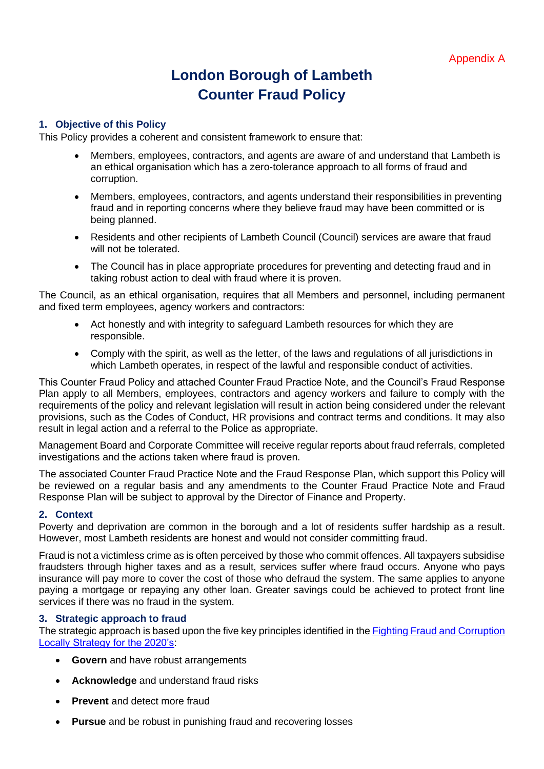# **London Borough of Lambeth Counter Fraud Policy**

### **1. Objective of this Policy**

This Policy provides a coherent and consistent framework to ensure that:

- Members, employees, contractors, and agents are aware of and understand that Lambeth is an ethical organisation which has a zero-tolerance approach to all forms of fraud and corruption.
- Members, employees, contractors, and agents understand their responsibilities in preventing fraud and in reporting concerns where they believe fraud may have been committed or is being planned.
- Residents and other recipients of Lambeth Council (Council) services are aware that fraud will not be tolerated.
- The Council has in place appropriate procedures for preventing and detecting fraud and in taking robust action to deal with fraud where it is proven.

The Council, as an ethical organisation, requires that all Members and personnel, including permanent and fixed term employees, agency workers and contractors:

- Act honestly and with integrity to safeguard Lambeth resources for which they are responsible.
- Comply with the spirit, as well as the letter, of the laws and regulations of all jurisdictions in which Lambeth operates, in respect of the lawful and responsible conduct of activities.

This Counter Fraud Policy and attached Counter Fraud Practice Note, and the Council's Fraud Response Plan apply to all Members, employees, contractors and agency workers and failure to comply with the requirements of the policy and relevant legislation will result in action being considered under the relevant provisions, such as the Codes of Conduct, HR provisions and contract terms and conditions. It may also result in legal action and a referral to the Police as appropriate.

Management Board and Corporate Committee will receive regular reports about fraud referrals, completed investigations and the actions taken where fraud is proven.

The associated Counter Fraud Practice Note and the Fraud Response Plan, which support this Policy will be reviewed on a regular basis and any amendments to the Counter Fraud Practice Note and Fraud Response Plan will be subject to approval by the Director of Finance and Property.

#### **2. Context**

Poverty and deprivation are common in the borough and a lot of residents suffer hardship as a result. However, most Lambeth residents are honest and would not consider committing fraud.

Fraud is not a victimless crime as is often perceived by those who commit offences. All taxpayers subsidise fraudsters through higher taxes and as a result, services suffer where fraud occurs. Anyone who pays insurance will pay more to cover the cost of those who defraud the system. The same applies to anyone paying a mortgage or repaying any other loan. Greater savings could be achieved to protect front line services if there was no fraud in the system.

#### **3. Strategic approach to fraud**

The strategic approach is based upon the five key principles identified in the **Fighting Fraud and Corruption** [Locally Strategy for the 2020's:](https://lambeth.sharepoint.com/teams/hub01/iacf/Intranet%20Documents/Forms/All%20documents.aspx?id=%2Fteams%2Fhub01%2Fiacf%2FIntranet%20Documents%2FFFCL%20%2D%20Strategy%20for%20the%202020%27s%2Epdf&parent=%2Fteams%2Fhub01%2Fiacf%2FIntranet%20Documents)

- **Govern** and have robust arrangements
- **Acknowledge** and understand fraud risks
- **Prevent** and detect more fraud
- **Pursue** and be robust in punishing fraud and recovering losses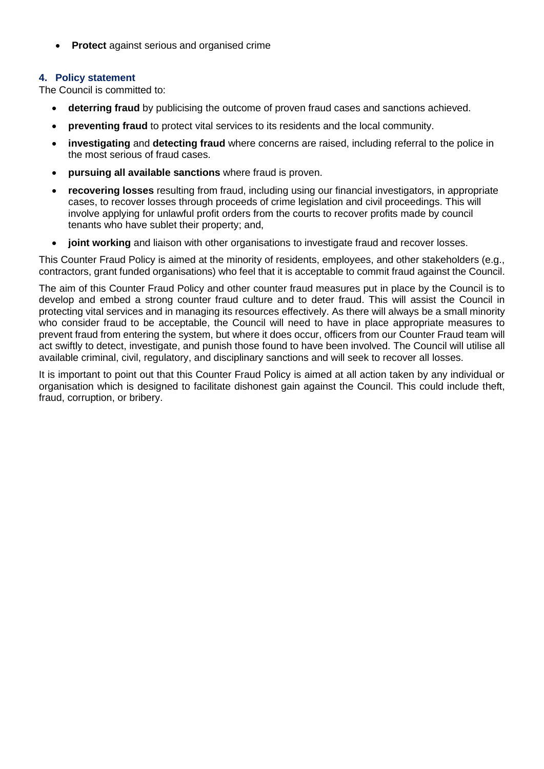• **Protect** against serious and organised crime

# **4. Policy statement**

The Council is committed to:

- **deterring fraud** by publicising the outcome of proven fraud cases and sanctions achieved.
- **preventing fraud** to protect vital services to its residents and the local community.
- **investigating** and **detecting fraud** where concerns are raised, including referral to the police in the most serious of fraud cases.
- **pursuing all available sanctions** where fraud is proven.
- **recovering losses** resulting from fraud, including using our financial investigators, in appropriate cases, to recover losses through proceeds of crime legislation and civil proceedings. This will involve applying for unlawful profit orders from the courts to recover profits made by council tenants who have sublet their property; and,
- **joint working** and liaison with other organisations to investigate fraud and recover losses.

This Counter Fraud Policy is aimed at the minority of residents, employees, and other stakeholders (e.g., contractors, grant funded organisations) who feel that it is acceptable to commit fraud against the Council.

The aim of this Counter Fraud Policy and other counter fraud measures put in place by the Council is to develop and embed a strong counter fraud culture and to deter fraud. This will assist the Council in protecting vital services and in managing its resources effectively. As there will always be a small minority who consider fraud to be acceptable, the Council will need to have in place appropriate measures to prevent fraud from entering the system, but where it does occur, officers from our Counter Fraud team will act swiftly to detect, investigate, and punish those found to have been involved. The Council will utilise all available criminal, civil, regulatory, and disciplinary sanctions and will seek to recover all losses.

It is important to point out that this Counter Fraud Policy is aimed at all action taken by any individual or organisation which is designed to facilitate dishonest gain against the Council. This could include theft, fraud, corruption, or bribery.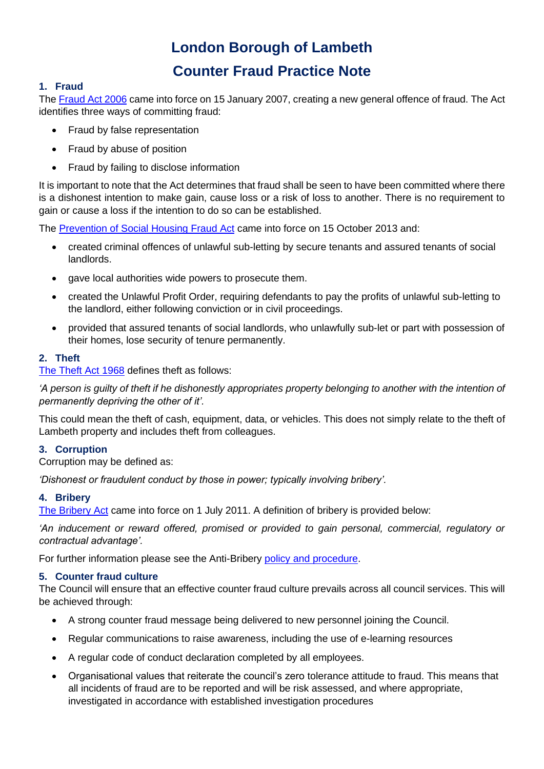# **London Borough of Lambeth Counter Fraud Practice Note**

#### **1. Fraud**

The [Fraud Act 2006](http://www.legislation.gov.uk/ukpga/2006/35/contents) came into force on 15 January 2007, creating a new general offence of fraud. The Act identifies three ways of committing fraud:

- Fraud by false representation
- Fraud by abuse of position
- Fraud by failing to disclose information

It is important to note that the Act determines that fraud shall be seen to have been committed where there is a dishonest intention to make gain, cause loss or a risk of loss to another. There is no requirement to gain or cause a loss if the intention to do so can be established.

The [Prevention of Social Housing Fraud Act](http://www.legislation.gov.uk/ukpga/2013/3/contents/enacted) came into force on 15 October 2013 and:

- created criminal offences of unlawful sub-letting by secure tenants and assured tenants of social landlords.
- gave local authorities wide powers to prosecute them.
- created the Unlawful Profit Order, requiring defendants to pay the profits of unlawful sub-letting to the landlord, either following conviction or in civil proceedings.
- provided that assured tenants of social landlords, who unlawfully sub-let or part with possession of their homes, lose security of tenure permanently.

# **2. Theft**

[The Theft Act 1968](http://www.legislation.gov.uk/ukpga/1968/60/contents) defines theft as follows:

*'A person is guilty of theft if he dishonestly appropriates property belonging to another with the intention of permanently depriving the other of it'.*

This could mean the theft of cash, equipment, data, or vehicles. This does not simply relate to the theft of Lambeth property and includes theft from colleagues.

#### **3. Corruption**

Corruption may be defined as:

*'Dishonest or fraudulent conduct by those in power; typically involving bribery'.* 

#### **4. Bribery**

[The Bribery Act](http://www.legislation.gov.uk/ukpga/2010/23/contents) came into force on 1 July 2011. A definition of bribery is provided below:

*'An inducement or reward offered, promised or provided to gain personal, commercial, regulatory or contractual advantage'.*

For further information please see the Anti-Bribery [policy and procedure.](https://lambeth.sharepoint.com/teams/hub01/iacf/Intranet%20Documents/Anti-Bribery%20Policy%20and%20Procedure.pdf)

#### **5. Counter fraud culture**

The Council will ensure that an effective counter fraud culture prevails across all council services. This will be achieved through:

- A strong counter fraud message being delivered to new personnel joining the Council.
- Regular communications to raise awareness, including the use of e-learning resources
- A regular code of conduct declaration completed by all employees.
- Organisational values that reiterate the council's zero tolerance attitude to fraud. This means that all incidents of fraud are to be reported and will be risk assessed, and where appropriate, investigated in accordance with established investigation procedures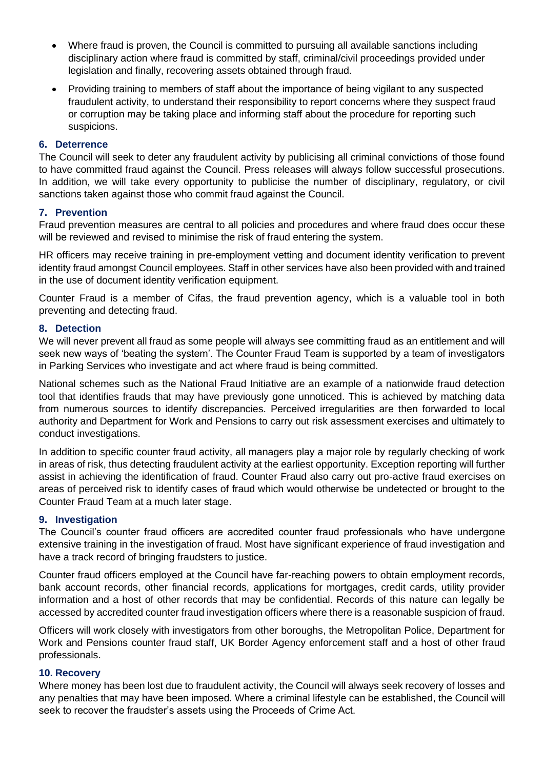- Where fraud is proven, the Council is committed to pursuing all available sanctions including disciplinary action where fraud is committed by staff, criminal/civil proceedings provided under legislation and finally, recovering assets obtained through fraud.
- Providing training to members of staff about the importance of being vigilant to any suspected fraudulent activity, to understand their responsibility to report concerns where they suspect fraud or corruption may be taking place and informing staff about the procedure for reporting such suspicions.

#### **6. Deterrence**

The Council will seek to deter any fraudulent activity by publicising all criminal convictions of those found to have committed fraud against the Council. Press releases will always follow successful prosecutions. In addition, we will take every opportunity to publicise the number of disciplinary, regulatory, or civil sanctions taken against those who commit fraud against the Council.

#### **7. Prevention**

Fraud prevention measures are central to all policies and procedures and where fraud does occur these will be reviewed and revised to minimise the risk of fraud entering the system.

HR officers may receive training in pre-employment vetting and document identity verification to prevent identity fraud amongst Council employees. Staff in other services have also been provided with and trained in the use of document identity verification equipment.

Counter Fraud is a member of Cifas, the fraud prevention agency, which is a valuable tool in both preventing and detecting fraud.

#### **8. Detection**

We will never prevent all fraud as some people will always see committing fraud as an entitlement and will seek new ways of 'beating the system'. The Counter Fraud Team is supported by a team of investigators in Parking Services who investigate and act where fraud is being committed.

National schemes such as the National Fraud Initiative are an example of a nationwide fraud detection tool that identifies frauds that may have previously gone unnoticed. This is achieved by matching data from numerous sources to identify discrepancies. Perceived irregularities are then forwarded to local authority and Department for Work and Pensions to carry out risk assessment exercises and ultimately to conduct investigations.

In addition to specific counter fraud activity, all managers play a major role by regularly checking of work in areas of risk, thus detecting fraudulent activity at the earliest opportunity. Exception reporting will further assist in achieving the identification of fraud. Counter Fraud also carry out pro-active fraud exercises on areas of perceived risk to identify cases of fraud which would otherwise be undetected or brought to the Counter Fraud Team at a much later stage.

#### **9. Investigation**

The Council's counter fraud officers are accredited counter fraud professionals who have undergone extensive training in the investigation of fraud. Most have significant experience of fraud investigation and have a track record of bringing fraudsters to justice.

Counter fraud officers employed at the Council have far-reaching powers to obtain employment records, bank account records, other financial records, applications for mortgages, credit cards, utility provider information and a host of other records that may be confidential. Records of this nature can legally be accessed by accredited counter fraud investigation officers where there is a reasonable suspicion of fraud.

Officers will work closely with investigators from other boroughs, the Metropolitan Police, Department for Work and Pensions counter fraud staff, UK Border Agency enforcement staff and a host of other fraud professionals.

#### **10. Recovery**

Where money has been lost due to fraudulent activity, the Council will always seek recovery of losses and any penalties that may have been imposed. Where a criminal lifestyle can be established, the Council will seek to recover the fraudster's assets using the Proceeds of Crime Act.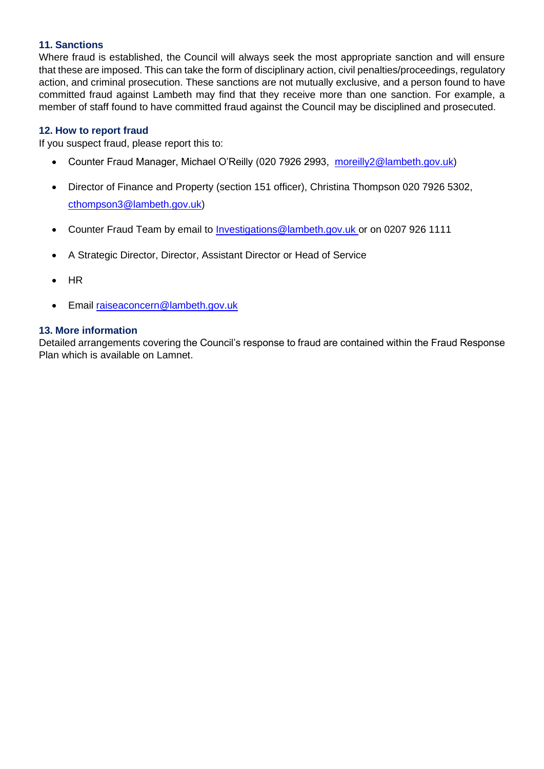# **11. Sanctions**

Where fraud is established, the Council will always seek the most appropriate sanction and will ensure that these are imposed. This can take the form of disciplinary action, civil penalties/proceedings, regulatory action, and criminal prosecution. These sanctions are not mutually exclusive, and a person found to have committed fraud against Lambeth may find that they receive more than one sanction. For example, a member of staff found to have committed fraud against the Council may be disciplined and prosecuted.

### **12. How to report fraud**

If you suspect fraud, please report this to:

- Counter Fraud Manager, Michael O'Reilly (020 7926 2993, [moreilly2@lambeth.gov.uk\)](mailto:moreilly2@lambeth.gov.uk)
- Director of Finance and Property (section 151 officer), Christina Thompson 020 7926 5302, [cthompson3@lambeth.gov.uk\)](mailto:cthompson3@lambeth.gov.uk)
- Counter Fraud Team by email to *Investigations@lambeth.gov.uk or on 0207 926 1111*
- A Strategic Director, Director, Assistant Director or Head of Service
- HR
- Email [raiseaconcern@lambeth.gov.uk](mailto:raiseaconcern@lambeth.gov.uk)

#### **13. More information**

Detailed arrangements covering the Council's response to fraud are contained within the Fraud Response Plan which is available on Lamnet.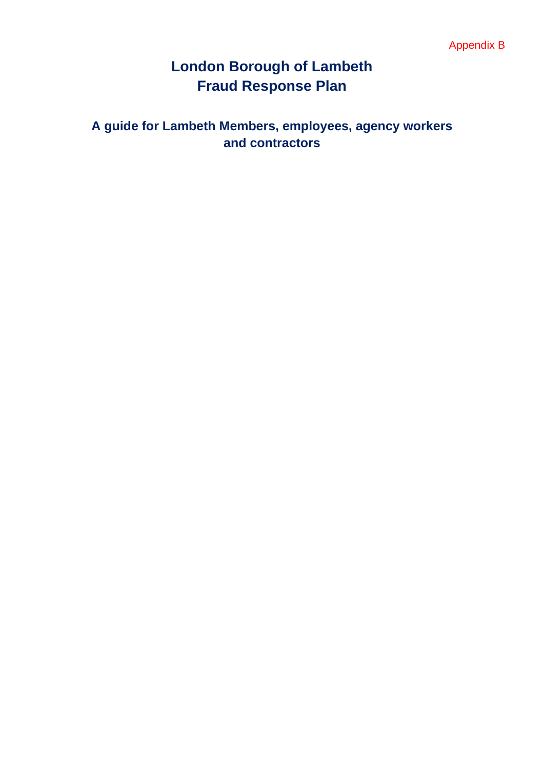# **London Borough of Lambeth Fraud Response Plan**

# **A guide for Lambeth Members, employees, agency workers and contractors**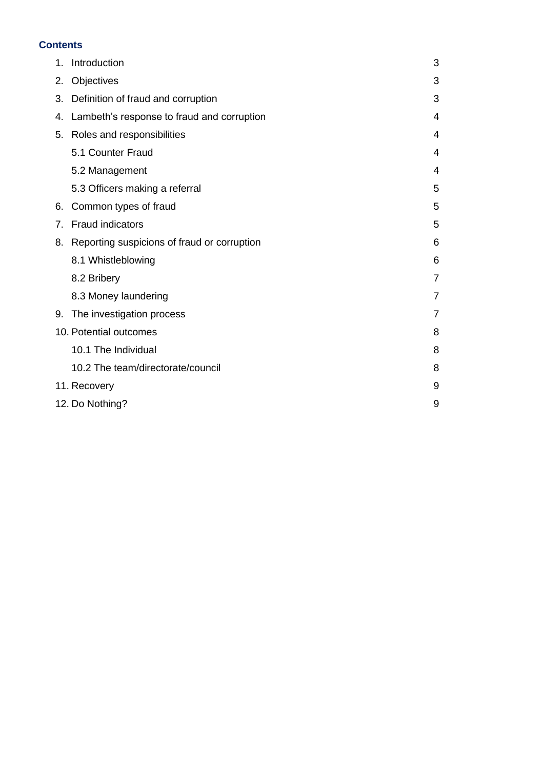#### **Contents**

| 1.                          | Introduction                                | 3              |  |
|-----------------------------|---------------------------------------------|----------------|--|
| 2.                          | Objectives                                  | 3              |  |
| 3.                          | Definition of fraud and corruption          | 3              |  |
| 4.                          | Lambeth's response to fraud and corruption  | 4              |  |
| 5.                          | Roles and responsibilities                  | 4              |  |
|                             | 5.1 Counter Fraud                           | 4              |  |
|                             | 5.2 Management                              | 4              |  |
|                             | 5.3 Officers making a referral              | 5              |  |
| 6.                          | Common types of fraud                       | 5              |  |
| 7.                          | <b>Fraud indicators</b>                     | 5              |  |
| 8.                          | Reporting suspicions of fraud or corruption | 6              |  |
|                             | 8.1 Whistleblowing                          | 6              |  |
|                             | 8.2 Bribery                                 | $\overline{7}$ |  |
|                             | 8.3 Money laundering                        | $\overline{7}$ |  |
| 9.                          | The investigation process                   | $\overline{7}$ |  |
| 10. Potential outcomes<br>8 |                                             |                |  |
|                             | 10.1 The Individual                         | 8              |  |
|                             | 10.2 The team/directorate/council           | 8              |  |
|                             | 9<br>11. Recovery                           |                |  |
|                             | 12. Do Nothing?<br>9                        |                |  |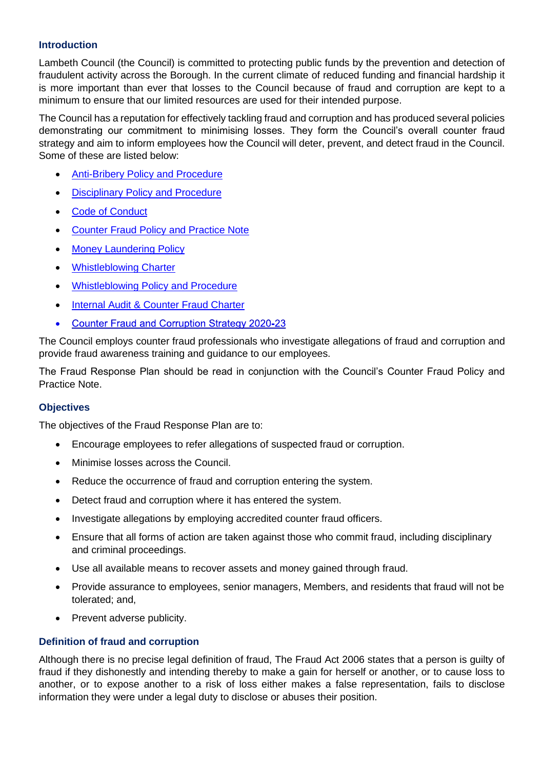### **Introduction**

Lambeth Council (the Council) is committed to protecting public funds by the prevention and detection of fraudulent activity across the Borough. In the current climate of reduced funding and financial hardship it is more important than ever that losses to the Council because of fraud and corruption are kept to a minimum to ensure that our limited resources are used for their intended purpose.

The Council has a reputation for effectively tackling fraud and corruption and has produced several policies demonstrating our commitment to minimising losses. They form the Council's overall counter fraud strategy and aim to inform employees how the Council will deter, prevent, and detect fraud in the Council. Some of these are listed below:

- [Anti-Bribery Policy and Procedure](https://lambeth.sharepoint.com/teams/hub01/iacf/Intranet%20Documents/Anti-Bribery%20Policy%20and%20Procedure.pdf)
- [Disciplinary Policy and Procedure](https://lambeth.sharepoint.com/teams/hub01/hr/Intranet%20Documents/Disciplinary%20policy%20and%20procedure.pdf)
- [Code of Conduct](https://lambeth.sharepoint.com/teams/hub01/hr/Intranet%20Documents/Code%20of%20Conduct%202016.pdf)
- [Counter Fraud Policy and Practice Note](https://lambeth.sharepoint.com/teams/hub01/iacf/Intranet%20Documents/Counter-Fraud%20Policy.pdf)
- **[Money Laundering Policy](https://lambeth.sharepoint.com/teams/hub01/iacf/Intranet%20Documents/Money%20Laundering%20Policy%20and%20Practice%20Note.pdf)**
- [Whistleblowing Charter](https://lambeth.sharepoint.com/teams/hub01/iacf/Intranet%20Documents/Whistleblowing%20Charter.pdf)
- [Whistleblowing Policy and Procedure](https://lambeth.sharepoint.com/teams/hub01/iacf/Intranet%20Documents/Whistleblowing%20Policy%20and%20Procedure.pdf)
- [Internal Audit & Counter Fraud Charter](https://lambeth.sharepoint.com/:p:/t/hub01/iacf/ESI8h-4hmTtPqf4B1ZIpoysB0KOOmy8T-HPKlSaLIVMBww?e=AUlBVf)
- **Counter Fraud and Corruption Strategy 2020-23**  $\bullet$

The Council employs counter fraud professionals who investigate allegations of fraud and corruption and provide fraud awareness training and guidance to our employees.

The Fraud Response Plan should be read in conjunction with the Council's Counter Fraud Policy and Practice Note.

#### **Objectives**

The objectives of the Fraud Response Plan are to:

- Encourage employees to refer allegations of suspected fraud or corruption.
- Minimise losses across the Council.
- Reduce the occurrence of fraud and corruption entering the system.
- Detect fraud and corruption where it has entered the system.
- Investigate allegations by employing accredited counter fraud officers.
- Ensure that all forms of action are taken against those who commit fraud, including disciplinary and criminal proceedings.
- Use all available means to recover assets and money gained through fraud.
- Provide assurance to employees, senior managers, Members, and residents that fraud will not be tolerated; and,
- Prevent adverse publicity.

#### **Definition of fraud and corruption**

Although there is no precise legal definition of fraud, The Fraud Act 2006 states that a person is guilty of fraud if they dishonestly and intending thereby to make a gain for herself or another, or to cause loss to another, or to expose another to a risk of loss either makes a false representation, fails to disclose information they were under a legal duty to disclose or abuses their position.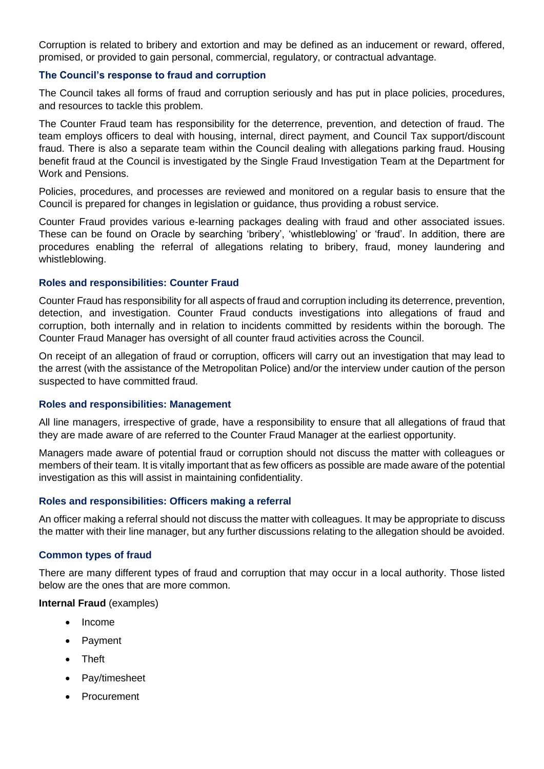Corruption is related to bribery and extortion and may be defined as an inducement or reward, offered, promised, or provided to gain personal, commercial, regulatory, or contractual advantage.

#### **The Council's response to fraud and corruption**

The Council takes all forms of fraud and corruption seriously and has put in place policies, procedures, and resources to tackle this problem.

The Counter Fraud team has responsibility for the deterrence, prevention, and detection of fraud. The team employs officers to deal with housing, internal, direct payment, and Council Tax support/discount fraud. There is also a separate team within the Council dealing with allegations parking fraud. Housing benefit fraud at the Council is investigated by the Single Fraud Investigation Team at the Department for Work and Pensions.

Policies, procedures, and processes are reviewed and monitored on a regular basis to ensure that the Council is prepared for changes in legislation or guidance, thus providing a robust service.

Counter Fraud provides various e-learning packages dealing with fraud and other associated issues. These can be found on Oracle by searching 'bribery', 'whistleblowing' or 'fraud'. In addition, there are procedures enabling the referral of allegations relating to bribery, fraud, money laundering and whistleblowing.

#### **Roles and responsibilities: Counter Fraud**

Counter Fraud has responsibility for all aspects of fraud and corruption including its deterrence, prevention, detection, and investigation. Counter Fraud conducts investigations into allegations of fraud and corruption, both internally and in relation to incidents committed by residents within the borough. The Counter Fraud Manager has oversight of all counter fraud activities across the Council.

On receipt of an allegation of fraud or corruption, officers will carry out an investigation that may lead to the arrest (with the assistance of the Metropolitan Police) and/or the interview under caution of the person suspected to have committed fraud.

#### **Roles and responsibilities: Management**

All line managers, irrespective of grade, have a responsibility to ensure that all allegations of fraud that they are made aware of are referred to the Counter Fraud Manager at the earliest opportunity.

Managers made aware of potential fraud or corruption should not discuss the matter with colleagues or members of their team. It is vitally important that as few officers as possible are made aware of the potential investigation as this will assist in maintaining confidentiality.

#### **Roles and responsibilities: Officers making a referral**

An officer making a referral should not discuss the matter with colleagues. It may be appropriate to discuss the matter with their line manager, but any further discussions relating to the allegation should be avoided.

#### **Common types of fraud**

There are many different types of fraud and corruption that may occur in a local authority. Those listed below are the ones that are more common.

#### **Internal Fraud** (examples)

- Income
- Payment
- Theft
- Pay/timesheet
- Procurement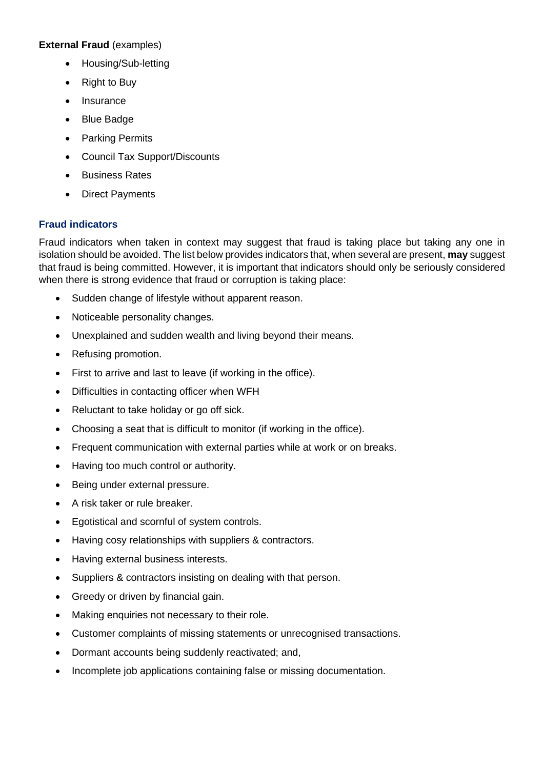# **External Fraud** (examples)

- Housing/Sub-letting
- Right to Buy
- Insurance
- Blue Badge
- Parking Permits
- Council Tax Support/Discounts
- Business Rates
- Direct Payments

# **Fraud indicators**

Fraud indicators when taken in context may suggest that fraud is taking place but taking any one in isolation should be avoided. The list below provides indicators that, when several are present, **may** suggest that fraud is being committed. However, it is important that indicators should only be seriously considered when there is strong evidence that fraud or corruption is taking place:

- Sudden change of lifestyle without apparent reason.
- Noticeable personality changes.
- Unexplained and sudden wealth and living beyond their means.
- Refusing promotion.
- First to arrive and last to leave (if working in the office).
- Difficulties in contacting officer when WFH
- Reluctant to take holiday or go off sick.
- Choosing a seat that is difficult to monitor (if working in the office).
- Frequent communication with external parties while at work or on breaks.
- Having too much control or authority.
- Being under external pressure.
- A risk taker or rule breaker.
- Egotistical and scornful of system controls.
- Having cosy relationships with suppliers & contractors.
- Having external business interests.
- Suppliers & contractors insisting on dealing with that person.
- Greedy or driven by financial gain.
- Making enquiries not necessary to their role.
- Customer complaints of missing statements or unrecognised transactions.
- Dormant accounts being suddenly reactivated; and,
- Incomplete job applications containing false or missing documentation.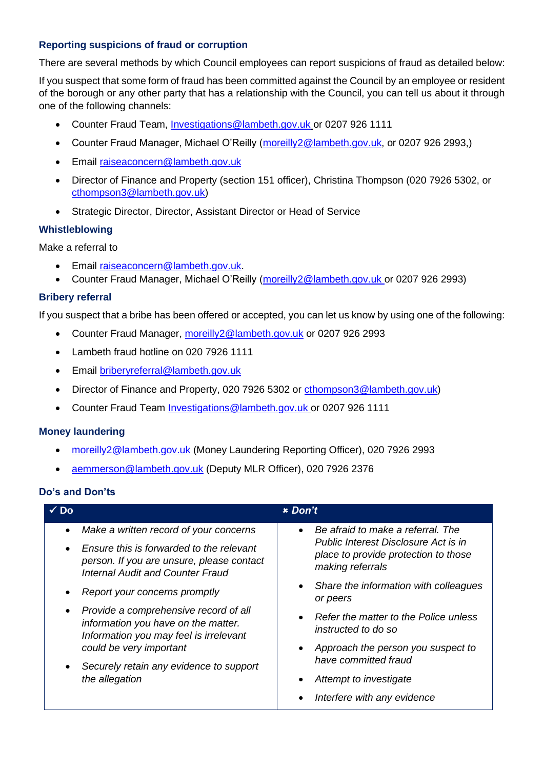# **Reporting suspicions of fraud or corruption**

There are several methods by which Council employees can report suspicions of fraud as detailed below:

If you suspect that some form of fraud has been committed against the Council by an employee or resident of the borough or any other party that has a relationship with the Council, you can tell us about it through one of the following channels:

- Counter Fraud Team, [Investigations@lambeth.gov.uk](mailto:Investigations@lambeth.gov.uk) or 0207 926 1111
- Counter Fraud Manager, Michael O'Reilly (moreilly 2@lambeth.gov.uk, or 0207 926 2993,)
- Email [raiseaconcern@lambeth.gov.uk](mailto:raiseaconcern@lambeth.gov.uk)
- Director of Finance and Property (section 151 officer), Christina Thompson (020 7926 5302, or [cthompson3@lambeth.gov.uk\)](mailto:cthompson3@lambeth.gov.uk)
- Strategic Director, Director, Assistant Director or Head of Service

# **Whistleblowing**

Make a referral to

- Email [raiseaconcern@lambeth.gov.uk.](mailto:raiseaconcern@lambeth.gov.uk)
- Counter Fraud Manager, Michael O'Reilly (moreilly 2@lambeth.gov.uk or 0207 926 2993)

# **Bribery referral**

If you suspect that a bribe has been offered or accepted, you can let us know by using one of the following:

- Counter Fraud Manager, moreilly 2@lambeth.gov.uk or 0207 926 2993
- Lambeth fraud hotline on 020 7926 1111
- Email [briberyreferral@lambeth.gov.uk](mailto:briberyreferral@lambeth.gov.uk)
- Director of Finance and Property, 020 7926 5302 or [cthompson3@lambeth.gov.uk\)](mailto:cthompson3@lambeth.gov.uk)
- Counter Fraud Team [Investigations@lambeth.gov.uk](mailto:Investigations@lambeth.gov.uk) or 0207 926 1111

#### **Money laundering**

- [moreilly2@lambeth.gov.uk](mailto:dhughes@lambeth.gov.uk) (Money Laundering Reporting Officer), 020 7926 2993
- [aemmerson@lambeth.gov.uk](mailto:aemmerson@lambeth.gov.uk) (Deputy MLR Officer), 020 7926 2376

#### **Do's and Don'ts**

| Do                     |                                                                                                                                                                                                                                                                                                                                                                                                                               | <b>*</b> Don't                                                                                                                                                                                                                                                                                                                                     |
|------------------------|-------------------------------------------------------------------------------------------------------------------------------------------------------------------------------------------------------------------------------------------------------------------------------------------------------------------------------------------------------------------------------------------------------------------------------|----------------------------------------------------------------------------------------------------------------------------------------------------------------------------------------------------------------------------------------------------------------------------------------------------------------------------------------------------|
| $\bullet$<br>$\bullet$ | Make a written record of your concerns<br>Ensure this is forwarded to the relevant<br>person. If you are unsure, please contact<br><b>Internal Audit and Counter Fraud</b><br>Report your concerns promptly<br>Provide a comprehensive record of all<br>information you have on the matter.<br>Information you may feel is irrelevant<br>could be very important<br>Securely retain any evidence to support<br>the allegation | Be afraid to make a referral. The<br>Public Interest Disclosure Act is in<br>place to provide protection to those<br>making referrals<br>Share the information with colleagues<br>or peers<br>Refer the matter to the Police unless<br>instructed to do so<br>Approach the person you suspect to<br>have committed fraud<br>Attempt to investigate |
|                        |                                                                                                                                                                                                                                                                                                                                                                                                                               | Interfere with any evidence                                                                                                                                                                                                                                                                                                                        |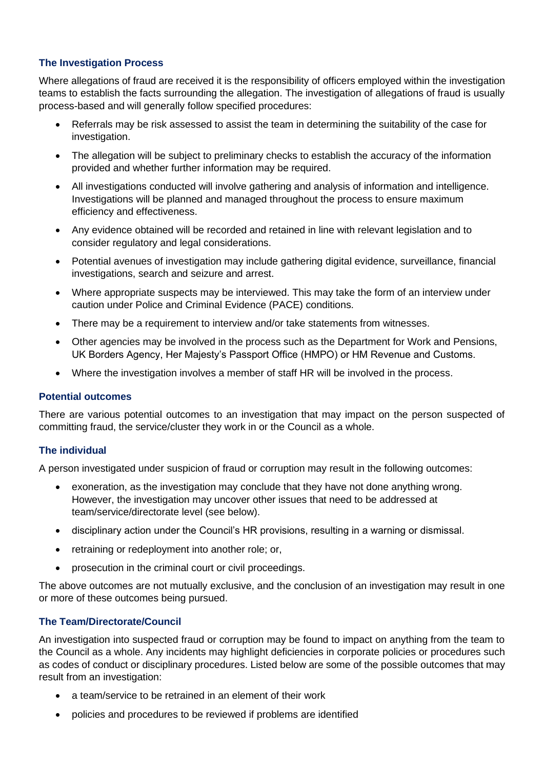# **The Investigation Process**

Where allegations of fraud are received it is the responsibility of officers employed within the investigation teams to establish the facts surrounding the allegation. The investigation of allegations of fraud is usually process-based and will generally follow specified procedures:

- Referrals may be risk assessed to assist the team in determining the suitability of the case for investigation.
- The allegation will be subject to preliminary checks to establish the accuracy of the information provided and whether further information may be required.
- All investigations conducted will involve gathering and analysis of information and intelligence. Investigations will be planned and managed throughout the process to ensure maximum efficiency and effectiveness.
- Any evidence obtained will be recorded and retained in line with relevant legislation and to consider regulatory and legal considerations.
- Potential avenues of investigation may include gathering digital evidence, surveillance, financial investigations, search and seizure and arrest.
- Where appropriate suspects may be interviewed. This may take the form of an interview under caution under Police and Criminal Evidence (PACE) conditions.
- There may be a requirement to interview and/or take statements from witnesses.
- Other agencies may be involved in the process such as the Department for Work and Pensions, UK Borders Agency, Her Majesty's Passport Office (HMPO) or HM Revenue and Customs.
- Where the investigation involves a member of staff HR will be involved in the process.

#### **Potential outcomes**

There are various potential outcomes to an investigation that may impact on the person suspected of committing fraud, the service/cluster they work in or the Council as a whole.

#### **The individual**

A person investigated under suspicion of fraud or corruption may result in the following outcomes:

- exoneration, as the investigation may conclude that they have not done anything wrong. However, the investigation may uncover other issues that need to be addressed at team/service/directorate level (see below).
- disciplinary action under the Council's HR provisions, resulting in a warning or dismissal.
- retraining or redeployment into another role; or,
- prosecution in the criminal court or civil proceedings.

The above outcomes are not mutually exclusive, and the conclusion of an investigation may result in one or more of these outcomes being pursued.

# **The Team/Directorate/Council**

An investigation into suspected fraud or corruption may be found to impact on anything from the team to the Council as a whole. Any incidents may highlight deficiencies in corporate policies or procedures such as codes of conduct or disciplinary procedures. Listed below are some of the possible outcomes that may result from an investigation:

- a team/service to be retrained in an element of their work
- policies and procedures to be reviewed if problems are identified